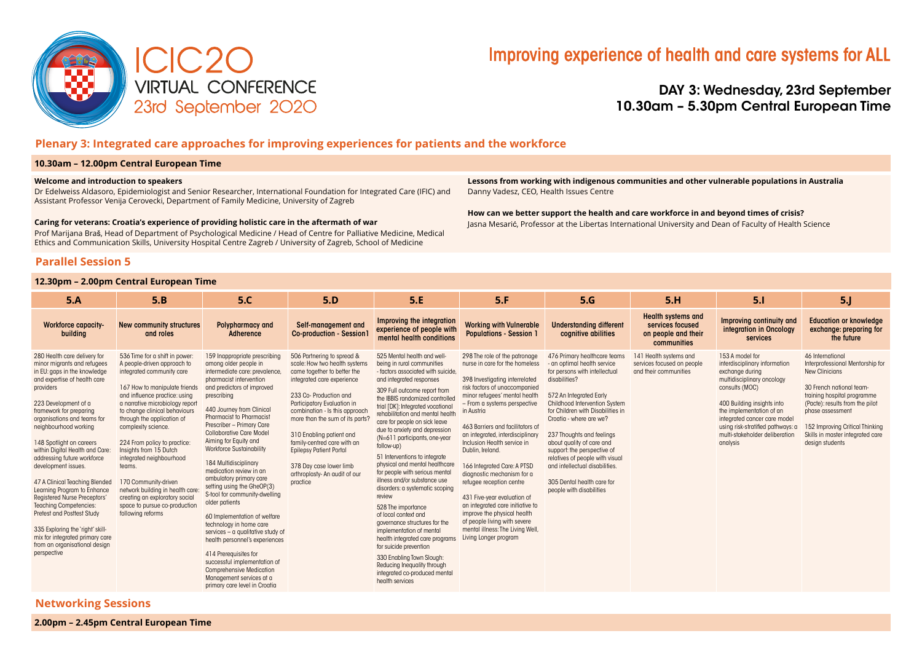

## Improving experience of health and care systems for ALL

DAY 3: Wednesday, 23rd September 10.30am – 5.30pm Central European Time

## **Plenary 3: Integrated care approaches for improving experiences for patients and the workforce**

#### **10.30am – 12.00pm Central European Time**

#### **Welcome and introduction to speakers**

Dr Edelweiss Aldasoro, Epidemiologist and Senior Researcher, International Foundation for Integrated Care (IFIC) and Assistant Professor Venija Cerovecki, Department of Family Medicine, University of Zagreb

#### **Caring for veterans: Croatia's experience of providing holistic care in the aftermath of war**

Prof Marijana Braš, Head of Department of Psychological Medicine / Head of Centre for Palliative Medicine, Medical Ethics and Communication Skills, University Hospital Centre Zagreb / University of Zagreb, School of Medicine

**Parallel Session 5** 

### **12.30pm – 2.00pm Central European Time**

**Lessons from working with indigenous communities and other vulnerable populations in Australia**  Danny Vadesz, CEO, Health Issues Centre

**How can we better support the health and care workforce in and beyond times of crisis?** Jasna Mesarić, Professor at the Libertas International University and Dean of Faculty of Health Science

| 5.A                                                                                                                                                                                                                                                                                                                                                                                                                                                                                                                                                                                                                                                                    | 5.B                                                                                                                                                                                                                                                                                                                                                                                                                                                                                                                                      | 5.C                                                                                                                                                                                                                                                                                                                                                                                                                                                                                                                                                                                                                                                                                                                                                                                                                     | 5.D                                                                                                                                                                                                                                                                                                                                                                                                                        | 5.E                                                                                                                                                                                                                                                                                                                                                                                                                                                                                                                                                                                                                                                                                                                                                                                                                                                                | 5.F                                                                                                                                                                                                                                                                                                                                                                                                                                                                                                                                                                                                                                  | 5.G                                                                                                                                                                                                                                                                                                                                                                                                                                                               | 5.H                                                                                 | 5.1                                                                                                                                                                                                                                                                                              | 5 <sub>1</sub>                                                                                                                                                                                                                                                                     |
|------------------------------------------------------------------------------------------------------------------------------------------------------------------------------------------------------------------------------------------------------------------------------------------------------------------------------------------------------------------------------------------------------------------------------------------------------------------------------------------------------------------------------------------------------------------------------------------------------------------------------------------------------------------------|------------------------------------------------------------------------------------------------------------------------------------------------------------------------------------------------------------------------------------------------------------------------------------------------------------------------------------------------------------------------------------------------------------------------------------------------------------------------------------------------------------------------------------------|-------------------------------------------------------------------------------------------------------------------------------------------------------------------------------------------------------------------------------------------------------------------------------------------------------------------------------------------------------------------------------------------------------------------------------------------------------------------------------------------------------------------------------------------------------------------------------------------------------------------------------------------------------------------------------------------------------------------------------------------------------------------------------------------------------------------------|----------------------------------------------------------------------------------------------------------------------------------------------------------------------------------------------------------------------------------------------------------------------------------------------------------------------------------------------------------------------------------------------------------------------------|--------------------------------------------------------------------------------------------------------------------------------------------------------------------------------------------------------------------------------------------------------------------------------------------------------------------------------------------------------------------------------------------------------------------------------------------------------------------------------------------------------------------------------------------------------------------------------------------------------------------------------------------------------------------------------------------------------------------------------------------------------------------------------------------------------------------------------------------------------------------|--------------------------------------------------------------------------------------------------------------------------------------------------------------------------------------------------------------------------------------------------------------------------------------------------------------------------------------------------------------------------------------------------------------------------------------------------------------------------------------------------------------------------------------------------------------------------------------------------------------------------------------|-------------------------------------------------------------------------------------------------------------------------------------------------------------------------------------------------------------------------------------------------------------------------------------------------------------------------------------------------------------------------------------------------------------------------------------------------------------------|-------------------------------------------------------------------------------------|--------------------------------------------------------------------------------------------------------------------------------------------------------------------------------------------------------------------------------------------------------------------------------------------------|------------------------------------------------------------------------------------------------------------------------------------------------------------------------------------------------------------------------------------------------------------------------------------|
| <b>Workforce capacity-</b><br>building                                                                                                                                                                                                                                                                                                                                                                                                                                                                                                                                                                                                                                 | New community structures<br>and roles                                                                                                                                                                                                                                                                                                                                                                                                                                                                                                    | <b>Polypharmacy and</b><br>Adherence                                                                                                                                                                                                                                                                                                                                                                                                                                                                                                                                                                                                                                                                                                                                                                                    | Self-management and<br>Co-production - Session                                                                                                                                                                                                                                                                                                                                                                             | Improving the integration<br>experience of people with<br>mental health conditions                                                                                                                                                                                                                                                                                                                                                                                                                                                                                                                                                                                                                                                                                                                                                                                 | <b>Working with Vulnerable</b><br><b>Populations - Session 1</b>                                                                                                                                                                                                                                                                                                                                                                                                                                                                                                                                                                     | <b>Understanding different</b><br>cognitive abilities                                                                                                                                                                                                                                                                                                                                                                                                             | <b>Health systems and</b><br>services focused<br>on people and their<br>communities | Improving continuity and<br>integration in Oncology<br>services                                                                                                                                                                                                                                  | <b>Education or knowledge</b><br>exchange: preparing for<br>the future                                                                                                                                                                                                             |
| 280 Health care delivery for<br>minor migrants and refugees<br>in EU: gaps in the knowledge<br>and expertise of health care<br>providers<br>223 Development of a<br>framework for preparing<br>organisations and teams for<br>neighbourhood working<br>148 Spotlight on careers<br>within Digital Health and Care:<br>addressing future workforce<br>development issues.<br>47 A Clinical Teaching Blended<br>Learning Program to Enhance<br><b>Registered Nurse Preceptors'</b><br><b>Teaching Competencies:</b><br>Pretest and Posttest Study<br>335 Exploring the 'right' skill-<br>mix for integrated primary care<br>from an organisational design<br>perspective | 536 Time for a shift in power<br>A people-driven approach to<br>integrated community care<br>167 How to manipulate friends<br>and influence practice: using<br>a narrative microbiology report<br>to change clinical behaviours<br>through the application of<br>complexity science.<br>224 From policy to practice:<br>Insights from 15 Dutch<br>integrated neighbourhood<br>teams.<br>170 Community-driven<br>network building in health care:<br>creating an exploratory social<br>space to pursue co-production<br>following reforms | 159 Inappropriate prescribing<br>among older people in<br>intermediate care: prevalence,<br>pharmacist intervention<br>and predictors of improved<br>prescribing<br>440 Journey from Clinical<br><b>Pharmacist to Pharmacist</b><br>Prescriber - Primary Care<br><b>Collaborative Care Model</b><br>Aiming for Equity and<br><b>Workforce Sustainability</b><br>184 Multidisciplinary<br>medication review in an<br>ambulatory primary care<br>setting using the GheOP(3)<br>S-tool for community-dwelling<br>older patients<br>60 Implementation of welfare<br>technology in home care<br>services - a qualitative study of<br>health personnel's experiences<br>414 Prerequisites for<br>successful implementation of<br><b>Comprehensive Medication</b><br>Management services at a<br>primary care level in Croatia | 506 Partnering to spread &<br>scale: How two health systems<br>came together to better the<br>integrated care experience<br>233 Co-Production and<br>Participatory Evaluation in<br>combination - Is this approach<br>more than the sum of its parts?<br>310 Enabling patient and<br>family-centred care with an<br><b>Epilepsy Patient Portal</b><br>378 Day case lower limb<br>arthroplasty- An audit of our<br>practice | 525 Mental health and well-<br>being in rural communities<br>- factors associated with suicide.<br>and integrated responses<br>309 Full outcome report from<br>the IBBIS randomized controlled<br>trial [DK]: Integrated vocational<br>rehabilitation and mental health<br>care for people on sick leave<br>due to anxiety and depression<br>(N=611 participants, one-year<br>follow-up)<br>51 Interventions to integrate<br>physical and mental healthcare<br>for people with serious mental<br>illness and/or substance use<br>disorders: a systematic scoping<br>review<br>528 The importance<br>of local context and<br>governance structures for the<br>implementation of mental<br>health integrated care programs<br>for suicide prevention<br>330 Enabling Town Slough:<br>Reducing Inequality through<br>integrated co-produced mental<br>health services | 298 The role of the patronage<br>nurse in care for the homeless<br>398 Investigating interrelated<br>risk factors of unaccompanied<br>minor refugees' mental health<br>- From a systems perspective<br>in Austria<br>463 Barriers and facilitators of<br>an integrated, interdisciplinary<br>Inclusion Health service in<br>Dublin, Ireland.<br>166 Integrated Care: A PTSD<br>diagnostic mechanism for a<br>refugee reception centre<br>431 Five-year evaluation of<br>an integrated care initiative to<br>improve the physical health<br>of people living with severe<br>mental illness: The Living Well,<br>Living Longer program | 476 Primary healthcare teams<br>- an optimal health service<br>for persons with intellectual<br>disabilities?<br>572 An Integrated Early<br>Childhood Intervention System<br>for Children with Disabilities in<br>Croatia - where are we?<br>237 Thoughts and feelings<br>about quality of care and<br>support: the perspective of<br>relatives of people with visual<br>and intellectual disabilities.<br>305 Dental health care for<br>people with disabilities | 141 Health systems and<br>services focused on people<br>and their communities       | 153 A model for<br>interdisciplinary information<br>exchange during<br>multidisciplinary oncology<br>consults (MOC)<br>400 Building insights into<br>the implementation of an<br>integrated cancer care model<br>using risk-stratified pathways: a<br>multi-stakeholder deliberation<br>analysis | 46 International<br>Interprofessional Mentorship for<br>New Clinicians<br>30 French national team-<br>training hospital programme<br>(Pacte): results from the pilot<br>phase assessment<br>152 Improving Critical Thinking<br>Skills in master integrated care<br>design students |

## **Networking Sessions**